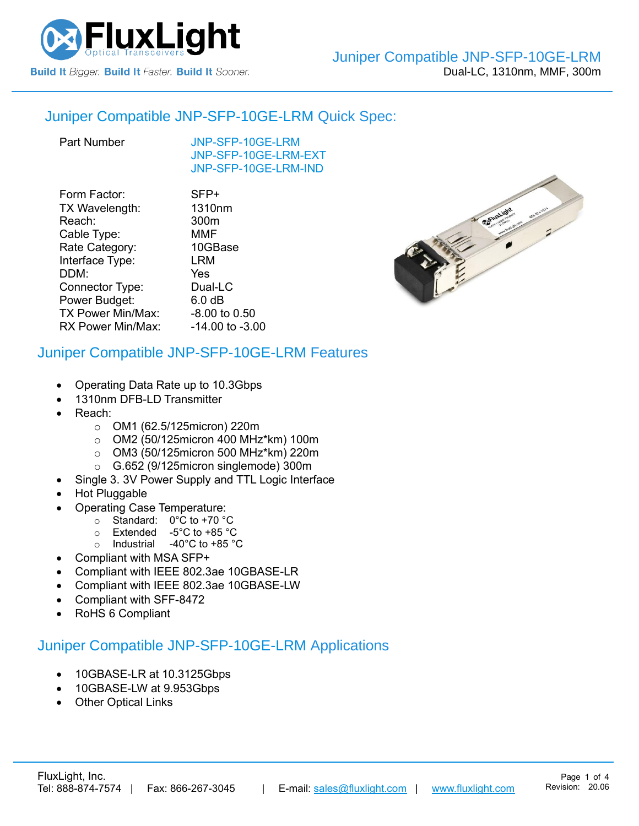

### Juniper Compatible [JNP-SFP-10GE-LRM](https://www.fluxlight.com/JNP-SFP-10ge-lrm/) Quick Spec:

[JNP-SFP-10GE-LRM](https://www.fluxlight.com/JNP-SFP-10ge-lrm/) [JNP-SFP-10GE-LRM-](https://www.fluxlight.com/JNP-SFP-10ge-lrm/)EXT [JNP-SFP-10GE-LRM-](https://www.fluxlight.com/JNP-SFP-10ge-lrm/)IND

| Form Factor:      | SFP+            |
|-------------------|-----------------|
| TX Wavelength:    | 1310nm          |
| Reach:            | 300m            |
| Cable Type:       | <b>MMF</b>      |
| Rate Category:    | 10GBase         |
| Interface Type:   | <b>LRM</b>      |
| DDM:              | Yes             |
| Connector Type:   | Dual-LC         |
| Power Budget:     | 6.0 dB          |
| TX Power Min/Max: | -8.00 to 0.50   |
| RX Power Min/Max: | -14.00 to -3.00 |
|                   |                 |

## Juniper Compatible [JNP-SFP-10GE-LRM](https://www.fluxlight.com/JNP-SFP-10ge-lrm/) Features

- Operating Data Rate up to 10.3Gbps
- 1310nm DFB-LD Transmitter
- Reach:
	- o OM1 (62.5/125micron) 220m
	- o OM2 (50/125micron 400 MHz\*km) 100m
	- o OM3 (50/125micron 500 MHz\*km) 220m
	- o G.652 (9/125micron singlemode) 300m
	- Single 3. 3V Power Supply and TTL Logic Interface
- Hot Pluggable
- Operating Case Temperature:
	- o Standard: 0°C to +70 °C
	- o Extended -5°C to +85 °C
	- o Industrial -40°C to +85 °C
- Compliant with MSA SFP+
- Compliant with IEEE 802.3ae 10GBASE-LR
- Compliant with IEEE 802.3ae 10GBASE-LW
- Compliant with SFF-8472
- RoHS 6 Compliant

## Juniper Compatible [JNP-SFP-10GE-LRM](https://www.fluxlight.com/JNP-SFP-10ge-lrm/) Applications

- 10GBASE-LR at 10.3125Gbps
- 10GBASE-LW at 9.953Gbps
- **Other Optical Links**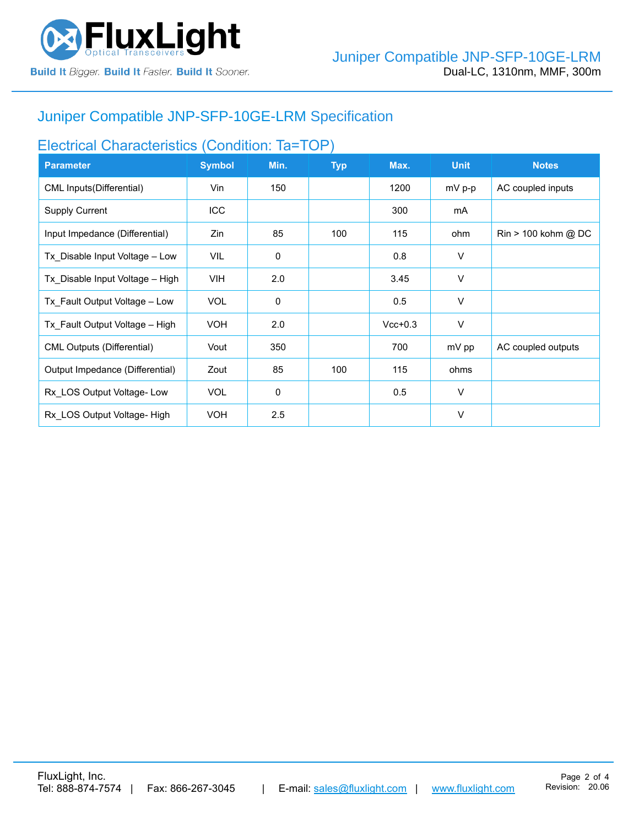

# Juniper Compatible [JNP-SFP-10GE-LRM](https://www.fluxlight.com/JNP-SFP-10ge-lrm/) Specification

# Electrical Characteristics (Condition: Ta=TOP)

| <b>Parameter</b>                  | <b>Symbol</b> | Min.        | <b>Typ</b> | Max.      | <b>Unit</b> | <b>Notes</b>                          |
|-----------------------------------|---------------|-------------|------------|-----------|-------------|---------------------------------------|
| CML Inputs (Differential)         | Vin           | 150         |            | 1200      | $mV$ p-p    | AC coupled inputs                     |
| <b>Supply Current</b>             | <b>ICC</b>    |             |            | 300       | mA          |                                       |
| Input Impedance (Differential)    | Zin           | 85          | 100        | 115       | ohm         | $\text{Rin} > 100 \text{ kohm } @$ DC |
| Tx Disable Input Voltage - Low    | VIL           | 0           |            | 0.8       | V           |                                       |
| Tx Disable Input Voltage - High   | VIH.          | 2.0         |            | 3.45      | V           |                                       |
| Tx Fault Output Voltage - Low     | <b>VOL</b>    | $\mathbf 0$ |            | 0.5       | V           |                                       |
| Tx Fault Output Voltage - High    | <b>VOH</b>    | 2.0         |            | $Vcc+0.3$ | V           |                                       |
| <b>CML Outputs (Differential)</b> | Vout          | 350         |            | 700       | mV pp       | AC coupled outputs                    |
| Output Impedance (Differential)   | Zout          | 85          | 100        | 115       | ohms        |                                       |
| Rx_LOS Output Voltage- Low        | <b>VOL</b>    | 0           |            | 0.5       | $\vee$      |                                       |
| Rx LOS Output Voltage-High        | <b>VOH</b>    | 2.5         |            |           | $\vee$      |                                       |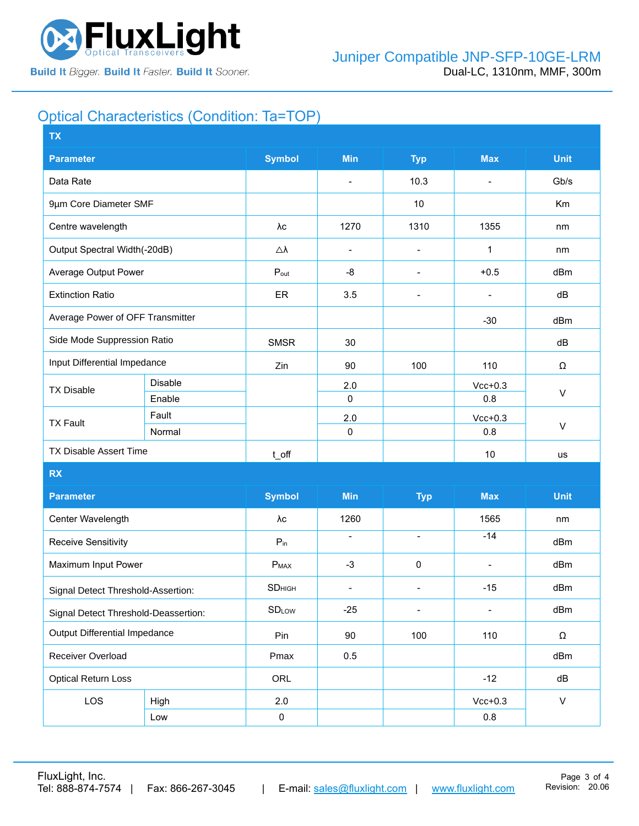

# Optical Characteristics (Condition: Ta=TOP)

| <b>TX</b>                            |                 |                    |                          |                          |                          |              |  |
|--------------------------------------|-----------------|--------------------|--------------------------|--------------------------|--------------------------|--------------|--|
| <b>Parameter</b>                     |                 |                    | <b>Min</b>               | <b>Typ</b>               | <b>Max</b>               | <b>Unit</b>  |  |
| Data Rate                            |                 |                    | $\overline{\phantom{a}}$ | 10.3                     | $\blacksquare$           | Gb/s         |  |
| 9µm Core Diameter SMF                |                 |                    |                          | 10                       |                          | Km           |  |
| Centre wavelength                    |                 | λс                 | 1270                     | 1310                     | 1355                     | nm           |  |
| Output Spectral Width(-20dB)         |                 | Δλ                 | $\overline{\phantom{a}}$ | $\overline{\phantom{a}}$ | 1                        | nm           |  |
| Average Output Power                 |                 | $P_{\text{out}}$   | -8                       | $\overline{\phantom{a}}$ | $+0.5$                   | dBm          |  |
| <b>Extinction Ratio</b>              |                 | ER                 | 3.5                      | $\overline{\phantom{a}}$ |                          | dB           |  |
| Average Power of OFF Transmitter     |                 |                    |                          |                          | $-30$                    | dBm          |  |
| Side Mode Suppression Ratio          |                 | <b>SMSR</b>        | 30                       |                          |                          | dB           |  |
| Input Differential Impedance         |                 | Zin                | 90                       | 100                      | 110                      | Ω            |  |
| <b>TX Disable</b>                    | <b>Disable</b>  |                    | 2.0                      |                          | $Vcc+0.3$                | $\vee$       |  |
|                                      | Enable          |                    | $\mathsf 0$              |                          | 0.8                      |              |  |
| <b>TX Fault</b>                      | Fault<br>Normal |                    | 2.0<br>$\mathbf 0$       |                          | $Vcc+0.3$<br>0.8         | $\sf V$      |  |
| <b>TX Disable Assert Time</b>        |                 |                    |                          |                          |                          |              |  |
|                                      |                 | t_off              |                          |                          | 10                       | us           |  |
| <b>RX</b>                            |                 |                    |                          |                          |                          |              |  |
| <b>Parameter</b>                     |                 | <b>Symbol</b>      | <b>Min</b>               | <b>Typ</b>               | <b>Max</b>               | <b>Unit</b>  |  |
| Center Wavelength                    |                 | λс                 | 1260                     |                          | 1565                     | nm           |  |
| <b>Receive Sensitivity</b>           |                 | $P_{in}$           | $\overline{\phantom{a}}$ | $\overline{\phantom{a}}$ | $-14$                    | dBm          |  |
| Maximum Input Power                  |                 | $P_{MAX}$          | $-3$                     | $\pmb{0}$                | $\overline{\phantom{a}}$ | dBm          |  |
| Signal Detect Threshold-Assertion:   |                 | SD <sub>HIGH</sub> | $\overline{\phantom{a}}$ | $\overline{\phantom{a}}$ | $-15$                    | dBm          |  |
| Signal Detect Threshold-Deassertion: |                 | <b>SDLOW</b>       | $-25$                    | $\overline{\phantom{0}}$ |                          | dBm          |  |
| <b>Output Differential Impedance</b> |                 | Pin                | 90                       | 100                      | 110                      | Ω            |  |
| Receiver Overload                    |                 | Pmax               | 0.5                      |                          |                          | dBm          |  |
| <b>Optical Return Loss</b>           |                 | ORL                |                          |                          | $-12$                    | dB           |  |
| LOS                                  | High            | 2.0                |                          |                          | $Vcc+0.3$                | $\mathsf{V}$ |  |
|                                      | Low             | $\pmb{0}$          |                          |                          | $0.8\,$                  |              |  |